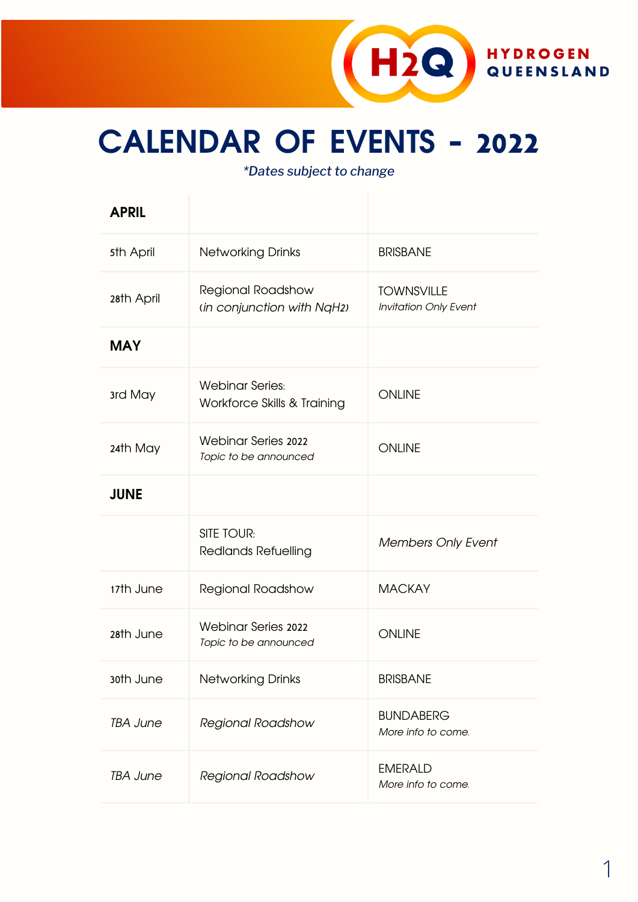

## **CALENDAR OF EVENTS - 2022**

*\*Dates subject to change*

| <b>APRIL</b>    |                                                       |                                                   |  |
|-----------------|-------------------------------------------------------|---------------------------------------------------|--|
| 5th April       | <b>Networking Drinks</b>                              | <b>BRISBANE</b>                                   |  |
| 28th April      | Regional Roadshow<br>(in conjunction with NqH2)       | <b>TOWNSVILLE</b><br><b>Invitation Only Event</b> |  |
| <b>MAY</b>      |                                                       |                                                   |  |
| 3rd May         | <b>Webinar Series:</b><br>Workforce Skills & Training | <b>ONLINE</b>                                     |  |
| 24th May        | <b>Webinar Series 2022</b><br>Topic to be announced   | <b>ONLINE</b>                                     |  |
| <b>JUNE</b>     |                                                       |                                                   |  |
|                 | <b>SITE TOUR:</b><br><b>Redlands Refuelling</b>       | <b>Members Only Event</b>                         |  |
| 17th June       | <b>Regional Roadshow</b>                              | <b>MACKAY</b>                                     |  |
| 28th June       | <b>Webinar Series 2022</b><br>Topic to be announced   | <b>ONLINE</b>                                     |  |
| 30th June       | <b>Networking Drinks</b>                              | <b>BRISBANE</b>                                   |  |
| <b>TBA June</b> | Regional Roadshow                                     | <b>BUNDABERG</b><br>More info to come.            |  |
| <b>TBA June</b> | Regional Roadshow                                     | <b>EMERALD</b><br>More info to come.              |  |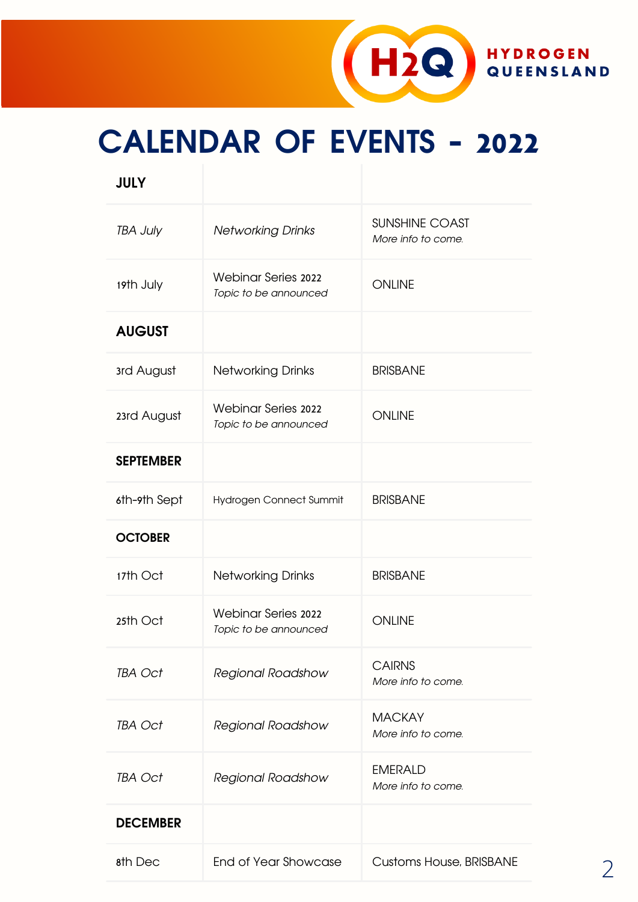

# **CALENDAR OF EVENTS - 2022**

| <b>JULY</b>      |                                                     |                                      |
|------------------|-----------------------------------------------------|--------------------------------------|
| <b>TBA July</b>  | <b>Networking Drinks</b>                            | SUNSHINE COAST<br>More info to come. |
| 19th July        | <b>Webinar Series 2022</b><br>Topic to be announced | <b>ONLINE</b>                        |
| <b>AUGUST</b>    |                                                     |                                      |
| 3rd August       | <b>Networking Drinks</b>                            | <b>BRISBANE</b>                      |
| 23rd August      | <b>Webinar Series 2022</b><br>Topic to be announced | <b>ONLINE</b>                        |
| <b>SEPTEMBER</b> |                                                     |                                      |
| 6th-9th Sept     | Hydrogen Connect Summit                             | <b>BRISBANE</b>                      |
| <b>OCTOBER</b>   |                                                     |                                      |
| 17th Oct         | <b>Networking Drinks</b>                            | <b>BRISBANE</b>                      |
| 25th Oct         | <b>Webinar Series 2022</b><br>Topic to be announced | <b>ONLINE</b>                        |
| TBA Oct          | Regional Roadshow                                   | <b>CAIRNS</b><br>More info to come.  |
| TBA Oct          | Regional Roadshow                                   | <b>MACKAY</b><br>More info to come.  |
| TBA Oct          | Regional Roadshow                                   | <b>EMERALD</b>                       |

**DECEMBER**

More info to come.